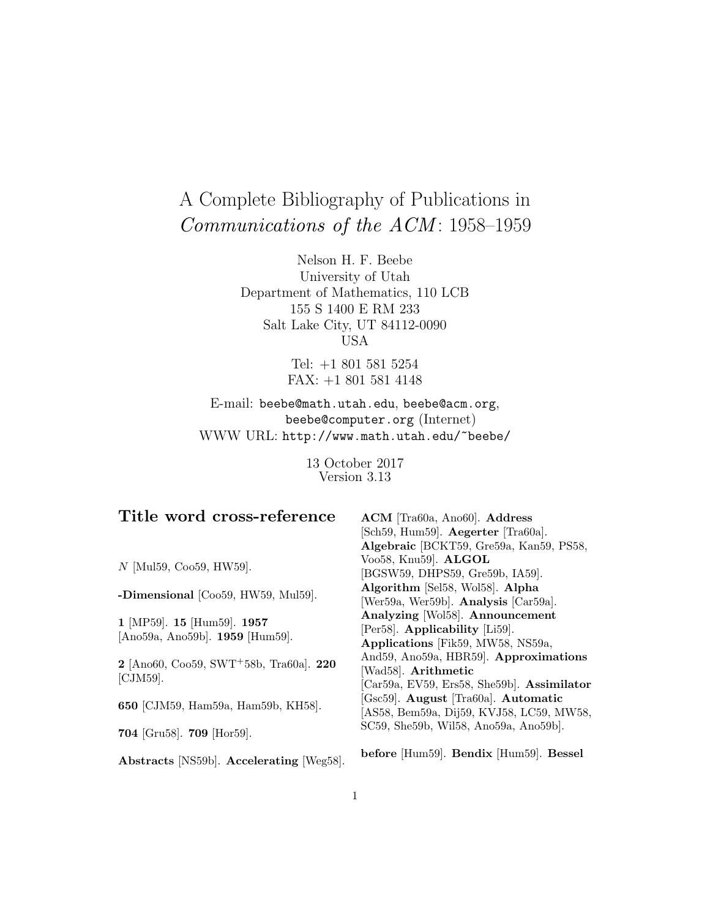# A Complete Bibliography of Publications in Communications of the ACM: 1958-1959

Nelson H. F. Beebe University of Utah Department of Mathematics, 110 LCB 155 S 1400 E RM 233 Salt Lake City, UT 84112-0090 USA

> Tel: +1 801 581 5254 FAX: +1 801 581 4148

E-mail: beebe@math.utah.edu, beebe@acm.org, beebe@computer.org (Internet) WWW URL: http://www.math.utah.edu/~beebe/

> 13 October 2017 Version 3.13

| Title word cross-reference                                             | ACM [Tra60a, Ano60]. Address               |
|------------------------------------------------------------------------|--------------------------------------------|
|                                                                        | [Sch59, Hum59]. Aegerter [Tra60a].         |
|                                                                        | Algebraic [BCKT59, Gre59a, Kan59, PS58,    |
| $N$ [Mul59, Coo59, HW59].                                              | Voo58, Knu59]. ALGOL                       |
|                                                                        | [BGSW59, DHPS59, Gre59b, IA59].            |
| -Dimensional [Coo59, HW59, Mul59].                                     | Algorithm [Sel58, Wol58]. Alpha            |
|                                                                        | [Wer59a, Wer59b]. Analysis [Car59a].       |
|                                                                        | Analyzing [Wol58]. Announcement            |
| 1 [MP59]. 15 [Hum59]. 1957                                             | [Per58]. Applicability [Li59].             |
| [Ano59a, Ano59b]. 1959 [Hum59].                                        | Applications [Fik59, MW58, NS59a,          |
| $2$ [Ano60, Coo59, SWT <sup>+</sup> 58b, Tra60a]. $220$<br>$[CJM59]$ . | And59, Ano59a, HBR59. Approximations       |
|                                                                        | [Wad58]. Arithmetic                        |
|                                                                        | [Car59a, EV59, Ers58, She59b]. Assimilator |
| 650 [CJM59, Ham59a, Ham59b, KH58].                                     | [Gsc59]. August [Tra60a]. Automatic        |
|                                                                        | [AS58, Bem59a, Dij59, KVJ58, LC59, MW58,   |
|                                                                        | $SC59$ , She59b, Wil58, Ano59a, Ano59b].   |
| 704 [Gru58]. 709 [Hor59].                                              |                                            |
| Abstracts [NS59b]. Accelerating [Weg58].                               | before [Hum59]. Bendix [Hum59]. Bessel     |
|                                                                        |                                            |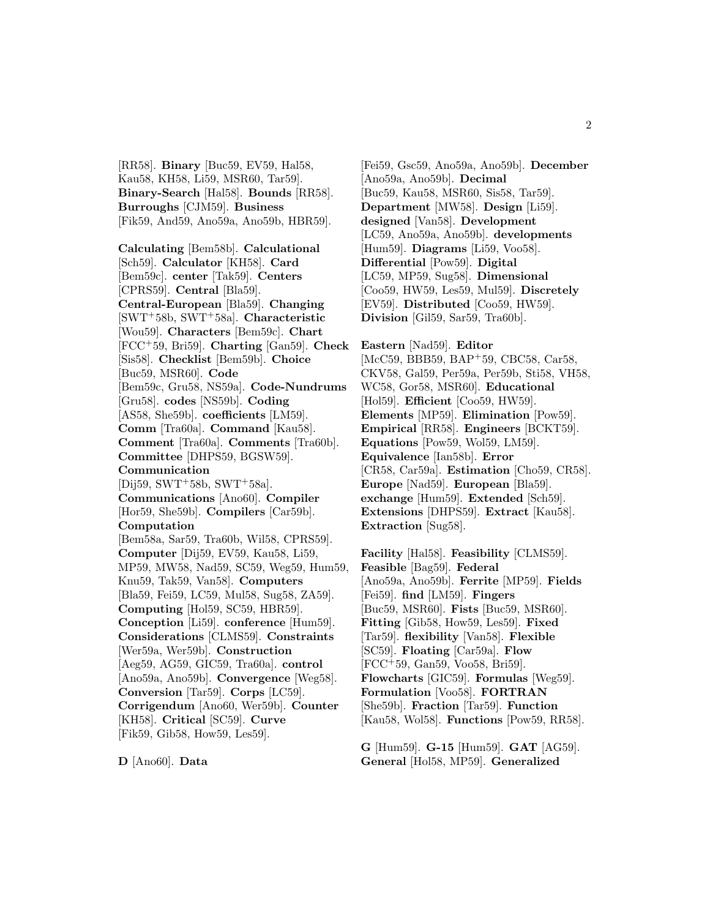[RR58]. **Binary** [Buc59, EV59, Hal58, Kau58, KH58, Li59, MSR60, Tar59]. **Binary-Search** [Hal58]. **Bounds** [RR58]. **Burroughs** [CJM59]. **Business** [Fik59, And59, Ano59a, Ano59b, HBR59].

**Calculating** [Bem58b]. **Calculational** [Sch59]. **Calculator** [KH58]. **Card** [Bem59c]. **center** [Tak59]. **Centers** [CPRS59]. **Central** [Bla59]. **Central-European** [Bla59]. **Changing** [SWT<sup>+</sup>58b, SWT<sup>+</sup>58a]. **Characteristic** [Wou59]. **Characters** [Bem59c]. **Chart** [FCC<sup>+</sup>59, Bri59]. **Charting** [Gan59]. **Check** [Sis58]. **Checklist** [Bem59b]. **Choice** [Buc59, MSR60]. **Code** [Bem59c, Gru58, NS59a]. **Code-Nundrums** [Gru58]. **codes** [NS59b]. **Coding** [AS58, She59b]. **coefficients** [LM59]. **Comm** [Tra60a]. **Command** [Kau58]. **Comment** [Tra60a]. **Comments** [Tra60b]. **Committee** [DHPS59, BGSW59]. **Communication**  $[Dij59, SWT+58b, SWT+58a].$ **Communications** [Ano60]. **Compiler** [Hor59, She59b]. **Compilers** [Car59b]. **Computation** [Bem58a, Sar59, Tra60b, Wil58, CPRS59]. **Computer** [Dij59, EV59, Kau58, Li59, MP59, MW58, Nad59, SC59, Weg59, Hum59, Knu59, Tak59, Van58]. **Computers** [Bla59, Fei59, LC59, Mul58, Sug58, ZA59]. **Computing** [Hol59, SC59, HBR59]. **Conception** [Li59]. **conference** [Hum59]. **Considerations** [CLMS59]. **Constraints** [Wer59a, Wer59b]. **Construction** [Aeg59, AG59, GIC59, Tra60a]. **control** [Ano59a, Ano59b]. **Convergence** [Weg58]. **Conversion** [Tar59]. **Corps** [LC59]. **Corrigendum** [Ano60, Wer59b]. **Counter** [KH58]. **Critical** [SC59]. **Curve** [Fik59, Gib58, How59, Les59].

[Fei59, Gsc59, Ano59a, Ano59b]. **December** [Ano59a, Ano59b]. **Decimal** [Buc59, Kau58, MSR60, Sis58, Tar59]. **Department** [MW58]. **Design** [Li59]. **designed** [Van58]. **Development** [LC59, Ano59a, Ano59b]. **developments** [Hum59]. **Diagrams** [Li59, Voo58]. **Differential** [Pow59]. **Digital** [LC59, MP59, Sug58]. **Dimensional** [Coo59, HW59, Les59, Mul59]. **Discretely** [EV59]. **Distributed** [Coo59, HW59]. **Division** [Gil59, Sar59, Tra60b].

**Eastern** [Nad59]. **Editor** [McC59, BBB59, BAP<sup>+</sup>59, CBC58, Car58, CKV58, Gal59, Per59a, Per59b, Sti58, VH58, WC58, Gor58, MSR60]. **Educational** [Hol59]. **Efficient** [Coo59, HW59]. **Elements** [MP59]. **Elimination** [Pow59]. **Empirical** [RR58]. **Engineers** [BCKT59]. **Equations** [Pow59, Wol59, LM59]. **Equivalence** [Ian58b]. **Error** [CR58, Car59a]. **Estimation** [Cho59, CR58]. **Europe** [Nad59]. **European** [Bla59]. **exchange** [Hum59]. **Extended** [Sch59]. **Extensions** [DHPS59]. **Extract** [Kau58]. **Extraction** [Sug58].

**Facility** [Hal58]. **Feasibility** [CLMS59]. **Feasible** [Bag59]. **Federal** [Ano59a, Ano59b]. **Ferrite** [MP59]. **Fields** [Fei59]. **find** [LM59]. **Fingers** [Buc59, MSR60]. **Fists** [Buc59, MSR60]. **Fitting** [Gib58, How59, Les59]. **Fixed** [Tar59]. **flexibility** [Van58]. **Flexible** [SC59]. **Floating** [Car59a]. **Flow** [FCC<sup>+</sup>59, Gan59, Voo58, Bri59]. **Flowcharts** [GIC59]. **Formulas** [Weg59]. **Formulation** [Voo58]. **FORTRAN** [She59b]. **Fraction** [Tar59]. **Function** [Kau58, Wol58]. **Functions** [Pow59, RR58].

**G** [Hum59]. **G-15** [Hum59]. **GAT** [AG59]. **General** [Hol58, MP59]. **Generalized**

**D** [Ano60]. **Data**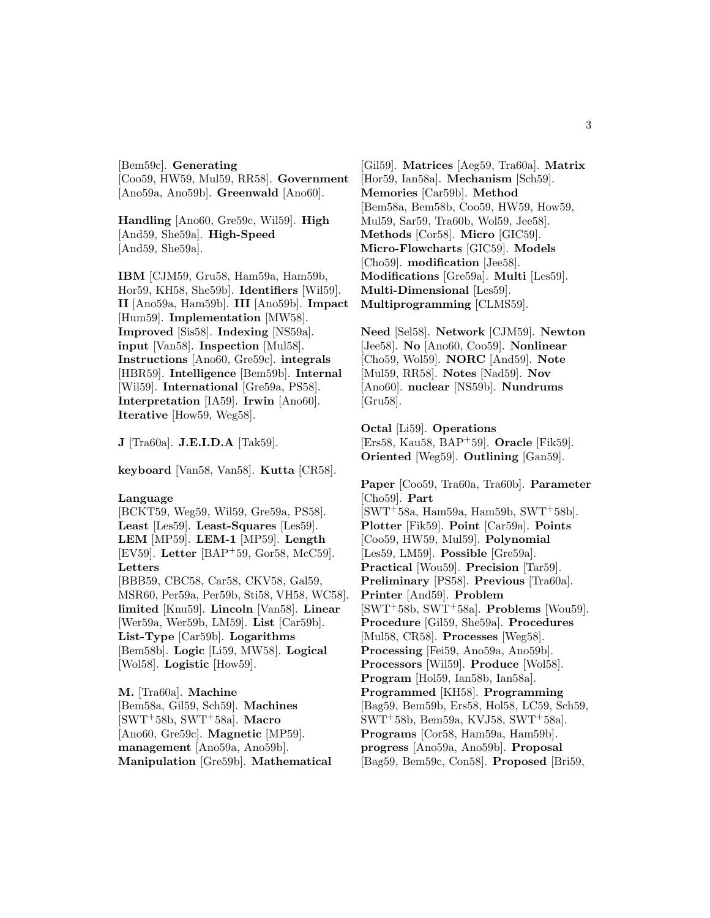[Bem59c]. **Generating** [Coo59, HW59, Mul59, RR58]. **Government** [Ano59a, Ano59b]. **Greenwald** [Ano60].

**Handling** [Ano60, Gre59c, Wil59]. **High** [And59, She59a]. **High-Speed** [And59, She59a].

**IBM** [CJM59, Gru58, Ham59a, Ham59b, Hor59, KH58, She59b]. **Identifiers** [Wil59]. **II** [Ano59a, Ham59b]. **III** [Ano59b]. **Impact** [Hum59]. **Implementation** [MW58]. **Improved** [Sis58]. **Indexing** [NS59a]. **input** [Van58]. **Inspection** [Mul58]. **Instructions** [Ano60, Gre59c]. **integrals** [HBR59]. **Intelligence** [Bem59b]. **Internal** [Wil59]. **International** [Gre59a, PS58]. **Interpretation** [IA59]. **Irwin** [Ano60]. **Iterative** [How59, Weg58].

**J** [Tra60a]. **J.E.I.D.A** [Tak59].

**keyboard** [Van58, Van58]. **Kutta** [CR58].

# **Language**

[BCKT59, Weg59, Wil59, Gre59a, PS58]. **Least** [Les59]. **Least-Squares** [Les59]. **LEM** [MP59]. **LEM-1** [MP59]. **Length** [EV59]. **Letter** [BAP<sup>+</sup>59, Gor58, McC59]. **Letters** [BBB59, CBC58, Car58, CKV58, Gal59, MSR60, Per59a, Per59b, Sti58, VH58, WC58]. **limited** [Knu59]. **Lincoln** [Van58]. **Linear** [Wer59a, Wer59b, LM59]. **List** [Car59b]. **List-Type** [Car59b]. **Logarithms** [Bem58b]. **Logic** [Li59, MW58]. **Logical** [Wol58]. **Logistic** [How59].

**M.** [Tra60a]. **Machine** [Bem58a, Gil59, Sch59]. **Machines** [SWT<sup>+</sup>58b, SWT<sup>+</sup>58a]. **Macro** [Ano60, Gre59c]. **Magnetic** [MP59]. **management** [Ano59a, Ano59b]. **Manipulation** [Gre59b]. **Mathematical**

[Gil59]. **Matrices** [Aeg59, Tra60a]. **Matrix** [Hor59, Ian58a]. **Mechanism** [Sch59]. **Memories** [Car59b]. **Method** [Bem58a, Bem58b, Coo59, HW59, How59, Mul59, Sar59, Tra60b, Wol59, Jee58]. **Methods** [Cor58]. **Micro** [GIC59]. **Micro-Flowcharts** [GIC59]. **Models** [Cho59]. **modification** [Jee58]. **Modifications** [Gre59a]. **Multi** [Les59]. **Multi-Dimensional** [Les59]. **Multiprogramming** [CLMS59].

**Need** [Sel58]. **Network** [CJM59]. **Newton** [Jee58]. **No** [Ano60, Coo59]. **Nonlinear** [Cho59, Wol59]. **NORC** [And59]. **Note** [Mul59, RR58]. **Notes** [Nad59]. **Nov** [Ano60]. **nuclear** [NS59b]. **Nundrums** [Gru58].

**Octal** [Li59]. **Operations** [Ers58, Kau58, BAP<sup>+</sup>59]. **Oracle** [Fik59]. **Oriented** [Weg59]. **Outlining** [Gan59].

**Paper** [Coo59, Tra60a, Tra60b]. **Parameter** [Cho59]. **Part** [SWT<sup>+</sup>58a, Ham59a, Ham59b, SWT<sup>+</sup>58b]. **Plotter** [Fik59]. **Point** [Car59a]. **Points** [Coo59, HW59, Mul59]. **Polynomial** [Les59, LM59]. **Possible** [Gre59a]. **Practical** [Wou59]. **Precision** [Tar59]. **Preliminary** [PS58]. **Previous** [Tra60a]. **Printer** [And59]. **Problem** [SWT<sup>+</sup>58b, SWT<sup>+</sup>58a]. **Problems** [Wou59]. **Procedure** [Gil59, She59a]. **Procedures** [Mul58, CR58]. **Processes** [Weg58]. **Processing** [Fei59, Ano59a, Ano59b]. **Processors** [Wil59]. **Produce** [Wol58]. **Program** [Hol59, Ian58b, Ian58a]. **Programmed** [KH58]. **Programming** [Bag59, Bem59b, Ers58, Hol58, LC59, Sch59, SWT<sup>+</sup>58b, Bem59a, KVJ58, SWT<sup>+</sup>58a]. **Programs** [Cor58, Ham59a, Ham59b]. **progress** [Ano59a, Ano59b]. **Proposal** [Bag59, Bem59c, Con58]. **Proposed** [Bri59,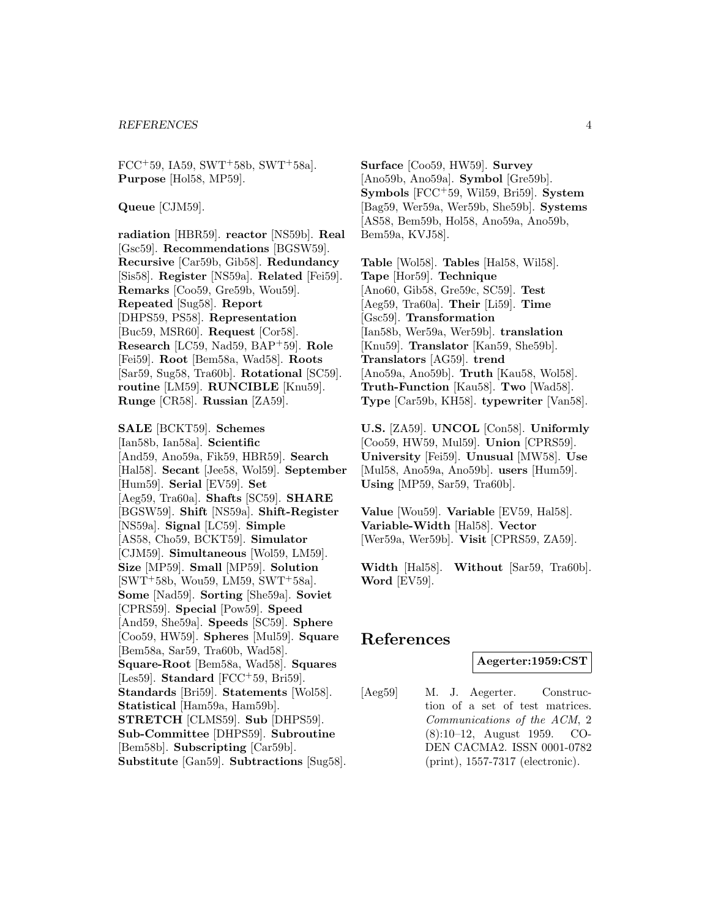$FCC+59$ , IA59, SWT+58b, SWT+58a]. **Purpose** [Hol58, MP59].

**Queue** [CJM59].

**radiation** [HBR59]. **reactor** [NS59b]. **Real** [Gsc59]. **Recommendations** [BGSW59]. **Recursive** [Car59b, Gib58]. **Redundancy** [Sis58]. **Register** [NS59a]. **Related** [Fei59]. **Remarks** [Coo59, Gre59b, Wou59]. **Repeated** [Sug58]. **Report** [DHPS59, PS58]. **Representation** [Buc59, MSR60]. **Request** [Cor58]. **Research** [LC59, Nad59, BAP<sup>+</sup>59]. **Role** [Fei59]. **Root** [Bem58a, Wad58]. **Roots** [Sar59, Sug58, Tra60b]. **Rotational** [SC59]. **routine** [LM59]. **RUNCIBLE** [Knu59]. **Runge** [CR58]. **Russian** [ZA59].

**SALE** [BCKT59]. **Schemes** [Ian58b, Ian58a]. **Scientific** [And59, Ano59a, Fik59, HBR59]. **Search** [Hal58]. **Secant** [Jee58, Wol59]. **September** [Hum59]. **Serial** [EV59]. **Set** [Aeg59, Tra60a]. **Shafts** [SC59]. **SHARE** [BGSW59]. **Shift** [NS59a]. **Shift-Register** [NS59a]. **Signal** [LC59]. **Simple** [AS58, Cho59, BCKT59]. **Simulator** [CJM59]. **Simultaneous** [Wol59, LM59]. **Size** [MP59]. **Small** [MP59]. **Solution**  $[SWT<sup>+</sup>58b, Wou59, LM59, SWT<sup>+</sup>58a].$ **Some** [Nad59]. **Sorting** [She59a]. **Soviet** [CPRS59]. **Special** [Pow59]. **Speed** [And59, She59a]. **Speeds** [SC59]. **Sphere** [Coo59, HW59]. **Spheres** [Mul59]. **Square** [Bem58a, Sar59, Tra60b, Wad58]. **Square-Root** [Bem58a, Wad58]. **Squares** [Les59]. **Standard** [FCC<sup>+</sup>59, Bri59]. **Standards** [Bri59]. **Statements** [Wol58]. **Statistical** [Ham59a, Ham59b]. **STRETCH** [CLMS59]. **Sub** [DHPS59]. **Sub-Committee** [DHPS59]. **Subroutine** [Bem58b]. **Subscripting** [Car59b]. **Substitute** [Gan59]. **Subtractions** [Sug58].

**Surface** [Coo59, HW59]. **Survey** [Ano59b, Ano59a]. **Symbol** [Gre59b]. **Symbols** [FCC<sup>+</sup>59, Wil59, Bri59]. **System** [Bag59, Wer59a, Wer59b, She59b]. **Systems** [AS58, Bem59b, Hol58, Ano59a, Ano59b, Bem59a, KVJ58].

**Table** [Wol58]. **Tables** [Hal58, Wil58]. **Tape** [Hor59]. **Technique** [Ano60, Gib58, Gre59c, SC59]. **Test** [Aeg59, Tra60a]. **Their** [Li59]. **Time** [Gsc59]. **Transformation** [Ian58b, Wer59a, Wer59b]. **translation** [Knu59]. **Translator** [Kan59, She59b]. **Translators** [AG59]. **trend** [Ano59a, Ano59b]. **Truth** [Kau58, Wol58]. **Truth-Function** [Kau58]. **Two** [Wad58]. **Type** [Car59b, KH58]. **typewriter** [Van58].

**U.S.** [ZA59]. **UNCOL** [Con58]. **Uniformly** [Coo59, HW59, Mul59]. **Union** [CPRS59]. **University** [Fei59]. **Unusual** [MW58]. **Use** [Mul58, Ano59a, Ano59b]. **users** [Hum59]. **Using** [MP59, Sar59, Tra60b].

**Value** [Wou59]. **Variable** [EV59, Hal58]. **Variable-Width** [Hal58]. **Vector** [Wer59a, Wer59b]. **Visit** [CPRS59, ZA59].

**Width** [Hal58]. **Without** [Sar59, Tra60b]. **Word** [EV59].

# **References**

#### **Aegerter:1959:CST**

[Aeg59] M. J. Aegerter. Construction of a set of test matrices. Communications of the ACM, 2 (8):10–12, August 1959. CO-DEN CACMA2. ISSN 0001-0782 (print), 1557-7317 (electronic).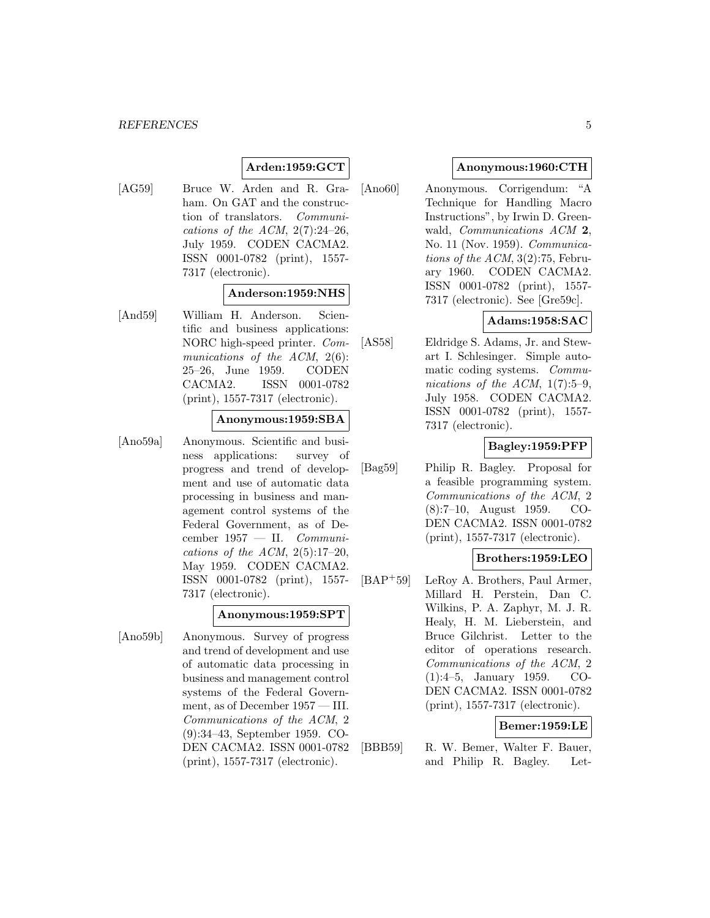# **Arden:1959:GCT**

[AG59] Bruce W. Arden and R. Graham. On GAT and the construction of translators. Communications of the ACM,  $2(7):24-26$ , July 1959. CODEN CACMA2. ISSN 0001-0782 (print), 1557- 7317 (electronic).

#### **Anderson:1959:NHS**

[And59] William H. Anderson. Scientific and business applications: NORC high-speed printer. Communications of the ACM, 2(6): 25–26, June 1959. CODEN CACMA2. ISSN 0001-0782 (print), 1557-7317 (electronic).

#### **Anonymous:1959:SBA**

[Ano59a] Anonymous. Scientific and business applications: survey of progress and trend of development and use of automatic data processing in business and management control systems of the Federal Government, as of December  $1957 - II$ . Communications of the ACM,  $2(5):17-20$ , May 1959. CODEN CACMA2. ISSN 0001-0782 (print), 1557- 7317 (electronic).

#### **Anonymous:1959:SPT**

[Ano59b] Anonymous. Survey of progress and trend of development and use of automatic data processing in business and management control systems of the Federal Government, as of December 1957 — III. Communications of the ACM, 2 (9):34–43, September 1959. CO-DEN CACMA2. ISSN 0001-0782 (print), 1557-7317 (electronic).

# **Anonymous:1960:CTH**

[Ano60] Anonymous. Corrigendum: "A Technique for Handling Macro Instructions", by Irwin D. Greenwald, Communications ACM **2**, No. 11 (Nov. 1959). Communications of the ACM, 3(2):75, February 1960. CODEN CACMA2. ISSN 0001-0782 (print), 1557- 7317 (electronic). See [Gre59c].

# **Adams:1958:SAC**

[AS58] Eldridge S. Adams, Jr. and Stewart I. Schlesinger. Simple automatic coding systems. Communications of the ACM,  $1(7):5-9$ , July 1958. CODEN CACMA2. ISSN 0001-0782 (print), 1557- 7317 (electronic).

# **Bagley:1959:PFP**

[Bag59] Philip R. Bagley. Proposal for a feasible programming system. Communications of the ACM, 2 (8):7–10, August 1959. CO-DEN CACMA2. ISSN 0001-0782 (print), 1557-7317 (electronic).

#### **Brothers:1959:LEO**

[BAP<sup>+</sup>59] LeRoy A. Brothers, Paul Armer, Millard H. Perstein, Dan C. Wilkins, P. A. Zaphyr, M. J. R. Healy, H. M. Lieberstein, and Bruce Gilchrist. Letter to the editor of operations research. Communications of the ACM, 2 (1):4–5, January 1959. CO-DEN CACMA2. ISSN 0001-0782 (print), 1557-7317 (electronic).

#### **Bemer:1959:LE**

[BBB59] R. W. Bemer, Walter F. Bauer, and Philip R. Bagley. Let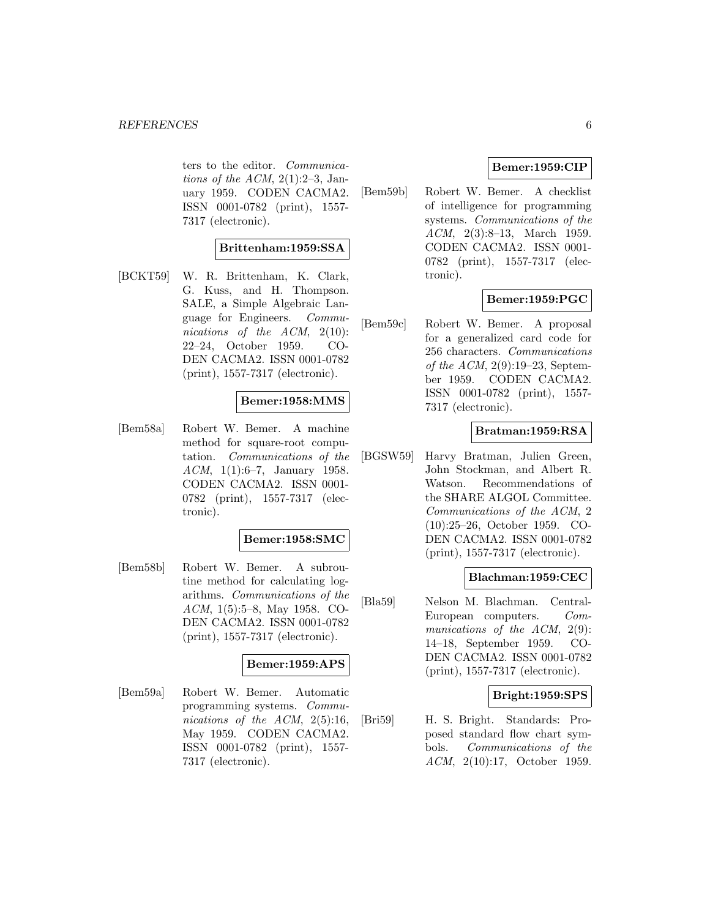ters to the editor. Communications of the ACM,  $2(1):2-3$ , January 1959. CODEN CACMA2. ISSN 0001-0782 (print), 1557- 7317 (electronic).

# **Brittenham:1959:SSA**

[BCKT59] W. R. Brittenham, K. Clark, G. Kuss, and H. Thompson. SALE, a Simple Algebraic Language for Engineers. Communications of the ACM, 2(10): 22–24, October 1959. CO-DEN CACMA2. ISSN 0001-0782 (print), 1557-7317 (electronic).

#### **Bemer:1958:MMS**

[Bem58a] Robert W. Bemer. A machine method for square-root computation. Communications of the ACM, 1(1):6–7, January 1958. CODEN CACMA2. ISSN 0001- 0782 (print), 1557-7317 (electronic).

#### **Bemer:1958:SMC**

[Bem58b] Robert W. Bemer. A subroutine method for calculating logarithms. Communications of the ACM, 1(5):5–8, May 1958. CO-DEN CACMA2. ISSN 0001-0782 (print), 1557-7317 (electronic).

#### **Bemer:1959:APS**

[Bem59a] Robert W. Bemer. Automatic programming systems. Communications of the ACM, 2(5):16, May 1959. CODEN CACMA2. ISSN 0001-0782 (print), 1557- 7317 (electronic).

# **Bemer:1959:CIP**

[Bem59b] Robert W. Bemer. A checklist of intelligence for programming systems. Communications of the ACM, 2(3):8–13, March 1959. CODEN CACMA2. ISSN 0001- 0782 (print), 1557-7317 (electronic).

# **Bemer:1959:PGC**

[Bem59c] Robert W. Bemer. A proposal for a generalized card code for 256 characters. Communications of the ACM,  $2(9):19-23$ , September 1959. CODEN CACMA2. ISSN 0001-0782 (print), 1557- 7317 (electronic).

#### **Bratman:1959:RSA**

[BGSW59] Harvy Bratman, Julien Green, John Stockman, and Albert R. Watson. Recommendations of the SHARE ALGOL Committee. Communications of the ACM, 2 (10):25–26, October 1959. CO-DEN CACMA2. ISSN 0001-0782 (print), 1557-7317 (electronic).

#### **Blachman:1959:CEC**

[Bla59] Nelson M. Blachman. Central-European computers. Communications of the ACM, 2(9): 14–18, September 1959. CO-DEN CACMA2. ISSN 0001-0782 (print), 1557-7317 (electronic).

#### **Bright:1959:SPS**

[Bri59] H. S. Bright. Standards: Proposed standard flow chart symbols. Communications of the ACM, 2(10):17, October 1959.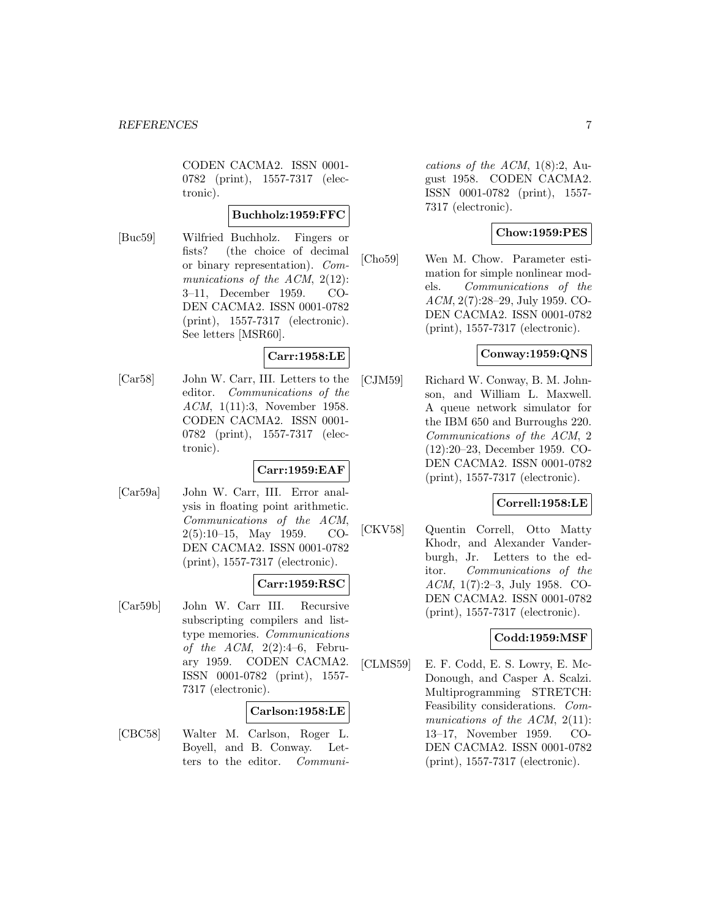CODEN CACMA2. ISSN 0001- 0782 (print), 1557-7317 (electronic).

# **Buchholz:1959:FFC**

[Buc59] Wilfried Buchholz. Fingers or fists? (the choice of decimal or binary representation). Communications of the ACM, 2(12): 3–11, December 1959. CO-DEN CACMA2. ISSN 0001-0782 (print), 1557-7317 (electronic). See letters [MSR60].

# **Carr:1958:LE**

[Car58] John W. Carr, III. Letters to the editor. Communications of the ACM, 1(11):3, November 1958. CODEN CACMA2. ISSN 0001- 0782 (print), 1557-7317 (electronic).

#### **Carr:1959:EAF**

[Car59a] John W. Carr, III. Error analysis in floating point arithmetic. Communications of the ACM, 2(5):10–15, May 1959. CO-DEN CACMA2. ISSN 0001-0782 (print), 1557-7317 (electronic).

# **Carr:1959:RSC**

[Car59b] John W. Carr III. Recursive subscripting compilers and listtype memories. Communications of the  $ACM$ ,  $2(2):4-6$ , February 1959. CODEN CACMA2. ISSN 0001-0782 (print), 1557- 7317 (electronic).

#### **Carlson:1958:LE**

[CBC58] Walter M. Carlson, Roger L. Boyell, and B. Conway. Letters to the editor. Communi-

cations of the ACM,  $1(8):2$ , August 1958. CODEN CACMA2. ISSN 0001-0782 (print), 1557- 7317 (electronic).

# **Chow:1959:PES**

[Cho59] Wen M. Chow. Parameter estimation for simple nonlinear models. Communications of the ACM, 2(7):28–29, July 1959. CO-DEN CACMA2. ISSN 0001-0782 (print), 1557-7317 (electronic).

# **Conway:1959:QNS**

[CJM59] Richard W. Conway, B. M. Johnson, and William L. Maxwell. A queue network simulator for the IBM 650 and Burroughs 220. Communications of the ACM, 2 (12):20–23, December 1959. CO-DEN CACMA2. ISSN 0001-0782 (print), 1557-7317 (electronic).

#### **Correll:1958:LE**

[CKV58] Quentin Correll, Otto Matty Khodr, and Alexander Vanderburgh, Jr. Letters to the editor. Communications of the ACM, 1(7):2–3, July 1958. CO-DEN CACMA2. ISSN 0001-0782 (print), 1557-7317 (electronic).

# **Codd:1959:MSF**

[CLMS59] E. F. Codd, E. S. Lowry, E. Mc-Donough, and Casper A. Scalzi. Multiprogramming STRETCH: Feasibility considerations. Communications of the ACM, 2(11): 13–17, November 1959. CO-DEN CACMA2. ISSN 0001-0782 (print), 1557-7317 (electronic).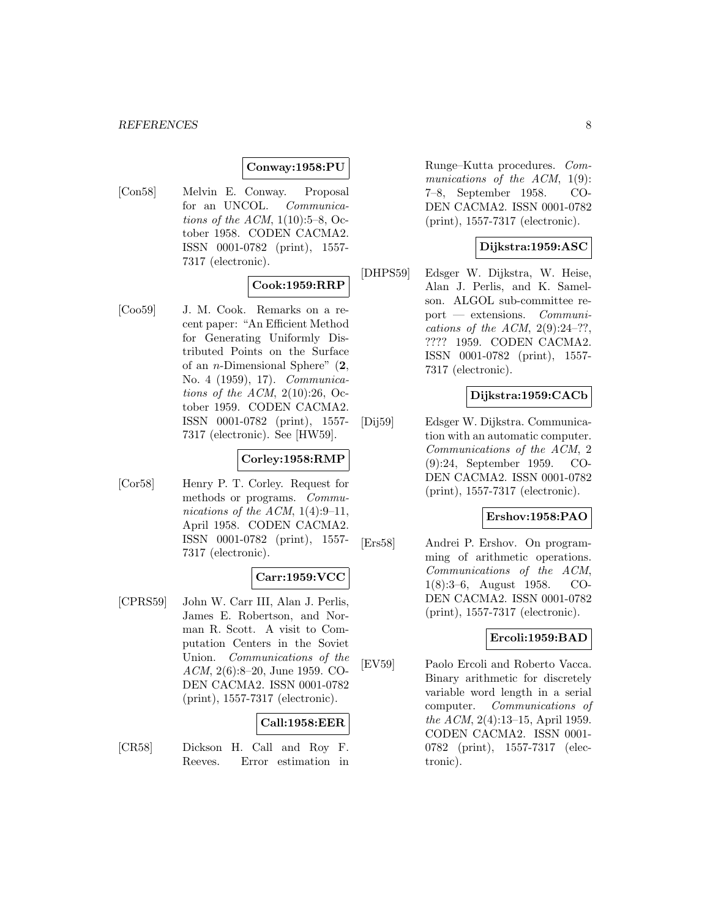#### **Conway:1958:PU**

[Con58] Melvin E. Conway. Proposal for an UNCOL. Communications of the ACM,  $1(10):5-8$ , October 1958. CODEN CACMA2. ISSN 0001-0782 (print), 1557- 7317 (electronic).

#### **Cook:1959:RRP**

[Coo59] J. M. Cook. Remarks on a recent paper: "An Efficient Method for Generating Uniformly Distributed Points on the Surface of an n-Dimensional Sphere" (**2**, No. 4 (1959), 17). Communications of the ACM,  $2(10):26$ , October 1959. CODEN CACMA2. ISSN 0001-0782 (print), 1557- 7317 (electronic). See [HW59].

### **Corley:1958:RMP**

[Cor58] Henry P. T. Corley. Request for methods or programs. Communications of the ACM,  $1(4):9-11$ , April 1958. CODEN CACMA2. ISSN 0001-0782 (print), 1557- 7317 (electronic).

#### **Carr:1959:VCC**

[CPRS59] John W. Carr III, Alan J. Perlis, James E. Robertson, and Norman R. Scott. A visit to Computation Centers in the Soviet Union. Communications of the ACM, 2(6):8–20, June 1959. CO-DEN CACMA2. ISSN 0001-0782 (print), 1557-7317 (electronic).

# **Call:1958:EER**

[CR58] Dickson H. Call and Roy F. Reeves. Error estimation in

Runge–Kutta procedures. Communications of the ACM,  $1(9)$ : 7–8, September 1958. CO-DEN CACMA2. ISSN 0001-0782 (print), 1557-7317 (electronic).

# **Dijkstra:1959:ASC**

[DHPS59] Edsger W. Dijkstra, W. Heise, Alan J. Perlis, and K. Samelson. ALGOL sub-committee report — extensions. Communications of the ACM,  $2(9):24-??$ , ???? 1959. CODEN CACMA2. ISSN 0001-0782 (print), 1557- 7317 (electronic).

# **Dijkstra:1959:CACb**

[Dij59] Edsger W. Dijkstra. Communication with an automatic computer. Communications of the ACM, 2 (9):24, September 1959. CO-DEN CACMA2. ISSN 0001-0782 (print), 1557-7317 (electronic).

### **Ershov:1958:PAO**

[Ers58] Andrei P. Ershov. On programming of arithmetic operations. Communications of the ACM, 1(8):3–6, August 1958. CO-DEN CACMA2. ISSN 0001-0782 (print), 1557-7317 (electronic).

# **Ercoli:1959:BAD**

[EV59] Paolo Ercoli and Roberto Vacca. Binary arithmetic for discretely variable word length in a serial computer. Communications of the ACM, 2(4):13–15, April 1959. CODEN CACMA2. ISSN 0001- 0782 (print), 1557-7317 (electronic).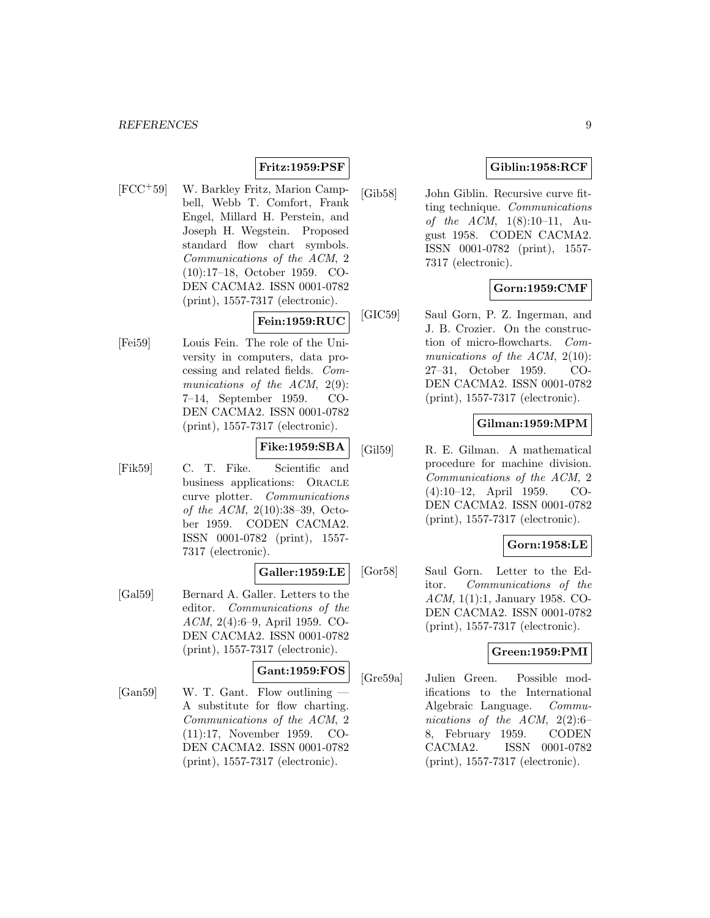# **Fritz:1959:PSF**

[FCC<sup>+</sup>59] W. Barkley Fritz, Marion Campbell, Webb T. Comfort, Frank Engel, Millard H. Perstein, and Joseph H. Wegstein. Proposed standard flow chart symbols. Communications of the ACM, 2 (10):17–18, October 1959. CO-DEN CACMA2. ISSN 0001-0782 (print), 1557-7317 (electronic).

# **Fein:1959:RUC**

[Fei59] Louis Fein. The role of the University in computers, data processing and related fields. Communications of the ACM, 2(9): 7–14, September 1959. CO-DEN CACMA2. ISSN 0001-0782 (print), 1557-7317 (electronic).

# **Fike:1959:SBA**

[Fik59] C. T. Fike. Scientific and business applications: ORACLE curve plotter. Communications of the ACM, 2(10):38–39, October 1959. CODEN CACMA2. ISSN 0001-0782 (print), 1557- 7317 (electronic).

# **Galler:1959:LE**

[Gal59] Bernard A. Galler. Letters to the editor. Communications of the ACM, 2(4):6–9, April 1959. CO-DEN CACMA2. ISSN 0001-0782 (print), 1557-7317 (electronic).

#### **Gant:1959:FOS**

[Gan59] W. T. Gant. Flow outlining A substitute for flow charting. Communications of the ACM, 2 (11):17, November 1959. CO-DEN CACMA2. ISSN 0001-0782 (print), 1557-7317 (electronic).

# **Giblin:1958:RCF**

[Gib58] John Giblin. Recursive curve fitting technique. Communications of the ACM,  $1(8):10-11$ , August 1958. CODEN CACMA2. ISSN 0001-0782 (print), 1557- 7317 (electronic).

# **Gorn:1959:CMF**

[GIC59] Saul Gorn, P. Z. Ingerman, and J. B. Crozier. On the construction of micro-flowcharts. Communications of the ACM, 2(10): 27–31, October 1959. CO-DEN CACMA2. ISSN 0001-0782 (print), 1557-7317 (electronic).

#### **Gilman:1959:MPM**

[Gil59] R. E. Gilman. A mathematical procedure for machine division. Communications of the ACM, 2 (4):10–12, April 1959. CO-DEN CACMA2. ISSN 0001-0782 (print), 1557-7317 (electronic).

#### **Gorn:1958:LE**

[Gor58] Saul Gorn. Letter to the Editor. Communications of the ACM, 1(1):1, January 1958. CO-DEN CACMA2. ISSN 0001-0782 (print), 1557-7317 (electronic).

#### **Green:1959:PMI**

[Gre59a] Julien Green. Possible modifications to the International Algebraic Language. Communications of the ACM,  $2(2):6$ 8, February 1959. CODEN CACMA2. ISSN 0001-0782 (print), 1557-7317 (electronic).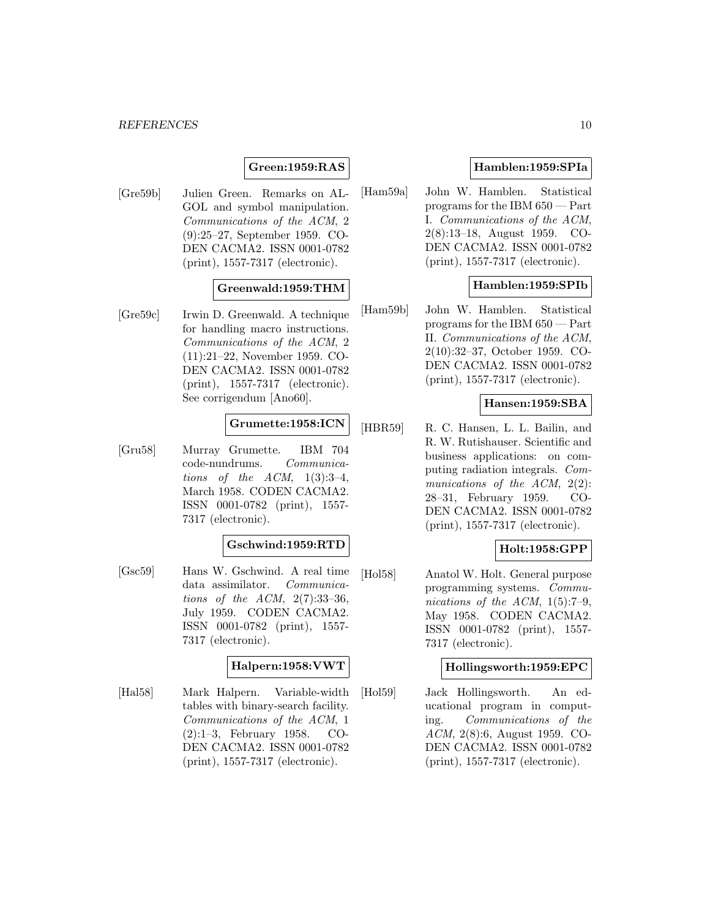#### *REFERENCES* 10

# **Green:1959:RAS**

[Gre59b] Julien Green. Remarks on AL-GOL and symbol manipulation. Communications of the ACM, 2 (9):25–27, September 1959. CO-DEN CACMA2. ISSN 0001-0782 (print), 1557-7317 (electronic).

### **Greenwald:1959:THM**

[Gre59c] Irwin D. Greenwald. A technique for handling macro instructions. Communications of the ACM, 2 (11):21–22, November 1959. CO-DEN CACMA2. ISSN 0001-0782 (print), 1557-7317 (electronic). See corrigendum [Ano60].

#### **Grumette:1958:ICN**

[Gru58] Murray Grumette. IBM 704 code-nundrums. Communications of the  $ACM$ ,  $1(3):3-4$ , March 1958. CODEN CACMA2. ISSN 0001-0782 (print), 1557- 7317 (electronic).

#### **Gschwind:1959:RTD**

[Gsc59] Hans W. Gschwind. A real time data assimilator. Communications of the  $ACM$ ,  $2(7):33-36$ , July 1959. CODEN CACMA2. ISSN 0001-0782 (print), 1557- 7317 (electronic).

#### **Halpern:1958:VWT**

[Hal58] Mark Halpern. Variable-width tables with binary-search facility. Communications of the ACM, 1 (2):1–3, February 1958. CO-DEN CACMA2. ISSN 0001-0782 (print), 1557-7317 (electronic).

#### **Hamblen:1959:SPIa**

[Ham59a] John W. Hamblen. Statistical programs for the IBM 650 — Part I. Communications of the ACM, 2(8):13–18, August 1959. CO-DEN CACMA2. ISSN 0001-0782 (print), 1557-7317 (electronic).

#### **Hamblen:1959:SPIb**

[Ham59b] John W. Hamblen. Statistical programs for the IBM 650 — Part II. Communications of the ACM, 2(10):32–37, October 1959. CO-DEN CACMA2. ISSN 0001-0782 (print), 1557-7317 (electronic).

# **Hansen:1959:SBA**

[HBR59] R. C. Hansen, L. L. Bailin, and R. W. Rutishauser. Scientific and business applications: on computing radiation integrals. Communications of the ACM, 2(2): 28–31, February 1959. CO-DEN CACMA2. ISSN 0001-0782 (print), 1557-7317 (electronic).

#### **Holt:1958:GPP**

[Hol58] Anatol W. Holt. General purpose programming systems. Communications of the ACM,  $1(5):7-9$ , May 1958. CODEN CACMA2. ISSN 0001-0782 (print), 1557- 7317 (electronic).

#### **Hollingsworth:1959:EPC**

[Hol59] Jack Hollingsworth. An educational program in computing. Communications of the ACM, 2(8):6, August 1959. CO-DEN CACMA2. ISSN 0001-0782 (print), 1557-7317 (electronic).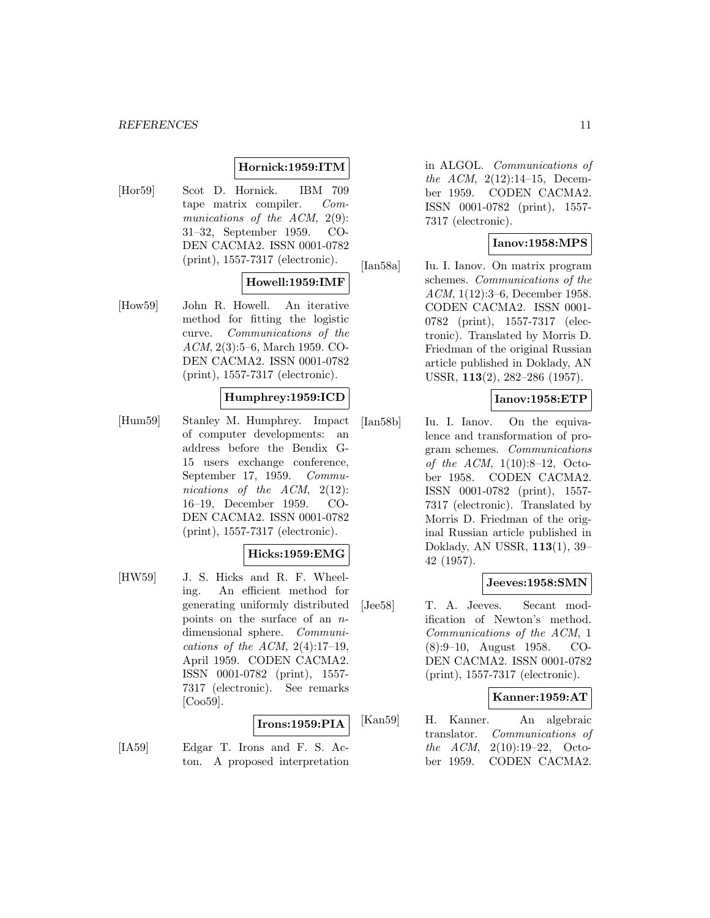#### *REFERENCES* 11

#### **Hornick:1959:ITM**

[Hor59] Scot D. Hornick. IBM 709 tape matrix compiler. Communications of the ACM, 2(9): 31–32, September 1959. CO-DEN CACMA2. ISSN 0001-0782 (print), 1557-7317 (electronic).

#### **Howell:1959:IMF**

[How59] John R. Howell. An iterative method for fitting the logistic curve. Communications of the ACM, 2(3):5–6, March 1959. CO-DEN CACMA2. ISSN 0001-0782 (print), 1557-7317 (electronic).

#### **Humphrey:1959:ICD**

[Hum59] Stanley M. Humphrey. Impact of computer developments: an address before the Bendix G-15 users exchange conference, September 17, 1959. Communications of the ACM, 2(12): 16–19, December 1959. CO-DEN CACMA2. ISSN 0001-0782 (print), 1557-7317 (electronic).

# **Hicks:1959:EMG**

[HW59] J. S. Hicks and R. F. Wheeling. An efficient method for generating uniformly distributed points on the surface of an ndimensional sphere. Communications of the ACM,  $2(4):17-19$ , April 1959. CODEN CACMA2. ISSN 0001-0782 (print), 1557- 7317 (electronic). See remarks [Coo59].

# **Irons:1959:PIA**

[IA59] Edgar T. Irons and F. S. Acton. A proposed interpretation

in ALGOL. Communications of the ACM, 2(12):14–15, December 1959. CODEN CACMA2. ISSN 0001-0782 (print), 1557- 7317 (electronic).

# **Ianov:1958:MPS**

[Ian58a] Iu. I. Ianov. On matrix program schemes. Communications of the ACM, 1(12):3–6, December 1958. CODEN CACMA2. ISSN 0001- 0782 (print), 1557-7317 (electronic). Translated by Morris D. Friedman of the original Russian article published in Doklady, AN USSR, **113**(2), 282–286 (1957).

#### **Ianov:1958:ETP**

[Ian58b] Iu. I. Ianov. On the equivalence and transformation of program schemes. Communications of the ACM,  $1(10):8-12$ , October 1958. CODEN CACMA2. ISSN 0001-0782 (print), 1557- 7317 (electronic). Translated by Morris D. Friedman of the original Russian article published in Doklady, AN USSR, **113**(1), 39– 42 (1957).

#### **Jeeves:1958:SMN**

[Jee58] T. A. Jeeves. Secant modification of Newton's method. Communications of the ACM, 1 (8):9–10, August 1958. CO-DEN CACMA2. ISSN 0001-0782 (print), 1557-7317 (electronic).

#### **Kanner:1959:AT**

[Kan59] H. Kanner. An algebraic translator. Communications of the ACM, 2(10):19–22, October 1959. CODEN CACMA2.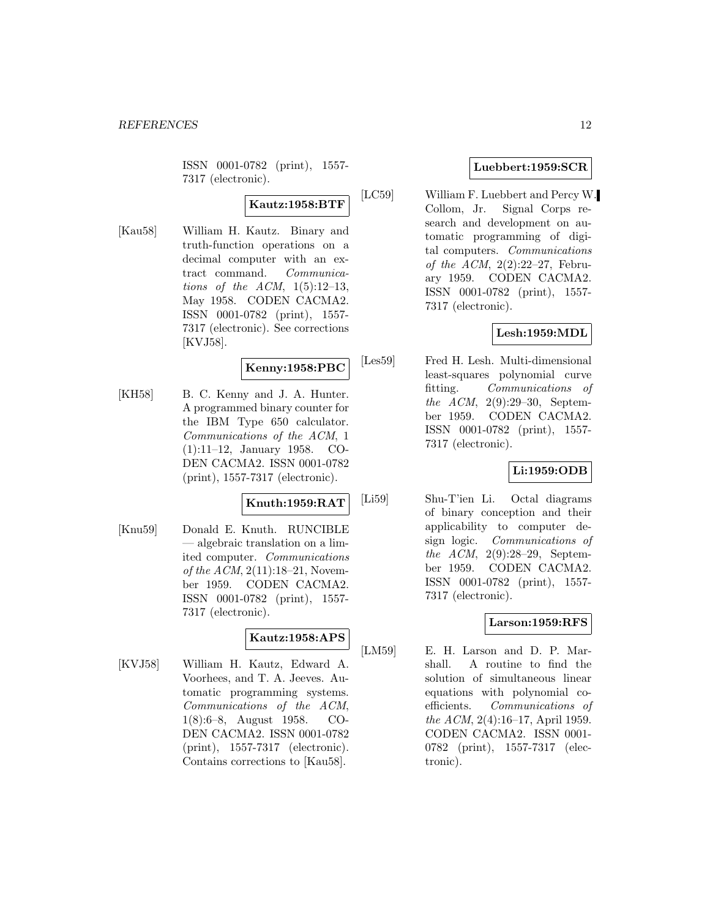ISSN 0001-0782 (print), 1557- 7317 (electronic).

# **Kautz:1958:BTF**

[Kau58] William H. Kautz. Binary and truth-function operations on a decimal computer with an extract command. Communications of the ACM,  $1(5):12-13$ , May 1958. CODEN CACMA2. ISSN 0001-0782 (print), 1557- 7317 (electronic). See corrections [KVJ58].

# **Kenny:1958:PBC**

[KH58] B. C. Kenny and J. A. Hunter. A programmed binary counter for the IBM Type 650 calculator. Communications of the ACM, 1 (1):11–12, January 1958. CO-DEN CACMA2. ISSN 0001-0782 (print), 1557-7317 (electronic).

# **Knuth:1959:RAT**

[Knu59] Donald E. Knuth. RUNCIBLE — algebraic translation on a limited computer. Communications of the  $ACM$ ,  $2(11):18-21$ , November 1959. CODEN CACMA2. ISSN 0001-0782 (print), 1557- 7317 (electronic).

# **Kautz:1958:APS**

[KVJ58] William H. Kautz, Edward A. Voorhees, and T. A. Jeeves. Automatic programming systems. Communications of the ACM, 1(8):6–8, August 1958. CO-DEN CACMA2. ISSN 0001-0782 (print), 1557-7317 (electronic). Contains corrections to [Kau58].

### **Luebbert:1959:SCR**

[LC59] William F. Luebbert and Percy W. Collom, Jr. Signal Corps research and development on automatic programming of digital computers. Communications of the ACM,  $2(2):22-27$ , February 1959. CODEN CACMA2. ISSN 0001-0782 (print), 1557- 7317 (electronic).

# **Lesh:1959:MDL**

[Les59] Fred H. Lesh. Multi-dimensional least-squares polynomial curve fitting. Communications of the ACM, 2(9):29–30, September 1959. CODEN CACMA2. ISSN 0001-0782 (print), 1557- 7317 (electronic).

# **Li:1959:ODB**

[Li59] Shu-T'ien Li. Octal diagrams of binary conception and their applicability to computer design logic. Communications of the ACM, 2(9):28–29, September 1959. CODEN CACMA2. ISSN 0001-0782 (print), 1557- 7317 (electronic).

#### **Larson:1959:RFS**

[LM59] E. H. Larson and D. P. Marshall. A routine to find the solution of simultaneous linear equations with polynomial coefficients. Communications of the ACM, 2(4):16–17, April 1959. CODEN CACMA2. ISSN 0001- 0782 (print), 1557-7317 (electronic).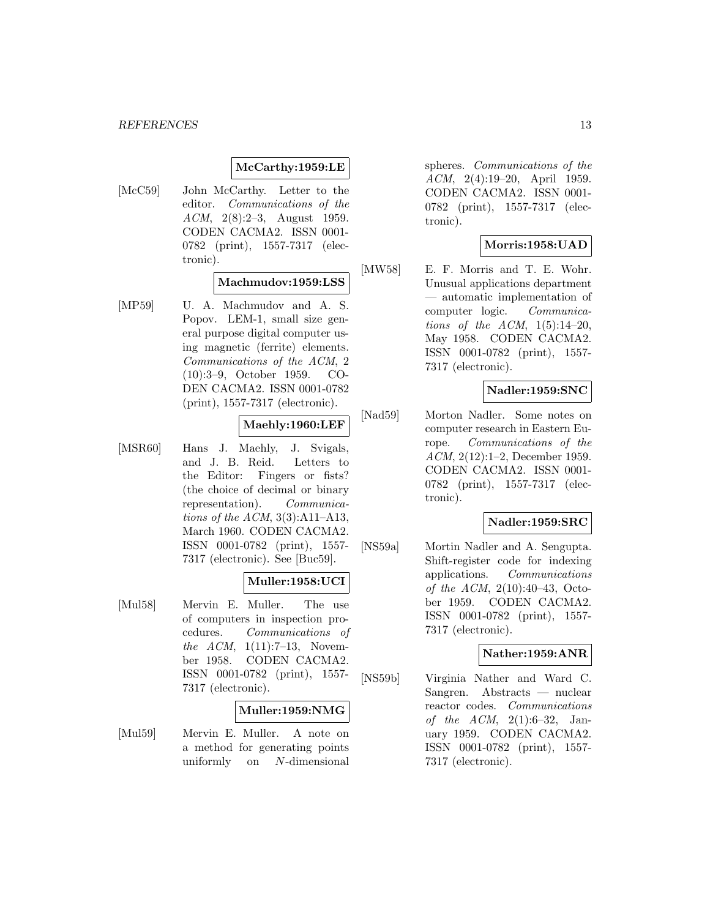#### **McCarthy:1959:LE**

[McC59] John McCarthy. Letter to the editor. Communications of the ACM, 2(8):2–3, August 1959. CODEN CACMA2. ISSN 0001- 0782 (print), 1557-7317 (electronic).

#### **Machmudov:1959:LSS**

[MP59] U. A. Machmudov and A. S. Popov. LEM-1, small size general purpose digital computer using magnetic (ferrite) elements. Communications of the ACM, 2 (10):3–9, October 1959. CO-DEN CACMA2. ISSN 0001-0782 (print), 1557-7317 (electronic).

# **Maehly:1960:LEF**

[MSR60] Hans J. Maehly, J. Svigals, and J. B. Reid. Letters to the Editor: Fingers or fists? (the choice of decimal or binary representation). Communications of the  $ACM$ , 3(3):A11–A13, March 1960. CODEN CACMA2. ISSN 0001-0782 (print), 1557- 7317 (electronic). See [Buc59].

#### **Muller:1958:UCI**

[Mul58] Mervin E. Muller. The use of computers in inspection procedures. Communications of the  $ACM$ ,  $1(11):7-13$ , November 1958. CODEN CACMA2. ISSN 0001-0782 (print), 1557- 7317 (electronic).

#### **Muller:1959:NMG**

[Mul59] Mervin E. Muller. A note on a method for generating points uniformly on N-dimensional

spheres. Communications of the ACM, 2(4):19–20, April 1959. CODEN CACMA2. ISSN 0001- 0782 (print), 1557-7317 (electronic).

# **Morris:1958:UAD**

[MW58] E. F. Morris and T. E. Wohr. Unusual applications department — automatic implementation of computer logic. Communications of the ACM,  $1(5):14-20$ , May 1958. CODEN CACMA2. ISSN 0001-0782 (print), 1557- 7317 (electronic).

#### **Nadler:1959:SNC**

[Nad59] Morton Nadler. Some notes on computer research in Eastern Europe. Communications of the ACM, 2(12):1–2, December 1959. CODEN CACMA2. ISSN 0001- 0782 (print), 1557-7317 (electronic).

#### **Nadler:1959:SRC**

[NS59a] Mortin Nadler and A. Sengupta. Shift-register code for indexing applications. Communications of the ACM, 2(10):40–43, October 1959. CODEN CACMA2. ISSN 0001-0782 (print), 1557- 7317 (electronic).

# **Nather:1959:ANR**

[NS59b] Virginia Nather and Ward C. Sangren. Abstracts — nuclear reactor codes. Communications of the  $ACM$ ,  $2(1):6-32$ , January 1959. CODEN CACMA2. ISSN 0001-0782 (print), 1557- 7317 (electronic).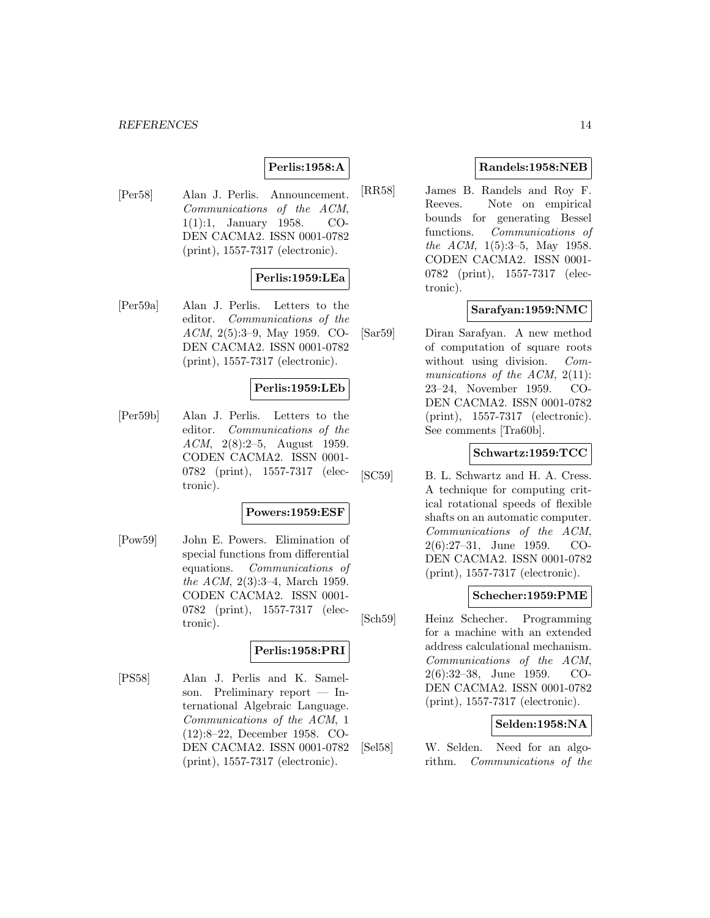#### *REFERENCES* 14

# **Perlis:1958:A**

[Per58] Alan J. Perlis. Announcement. Communications of the ACM, 1(1):1, January 1958. CO-DEN CACMA2. ISSN 0001-0782 (print), 1557-7317 (electronic).

#### **Perlis:1959:LEa**

[Per59a] Alan J. Perlis. Letters to the editor. Communications of the ACM, 2(5):3–9, May 1959. CO-DEN CACMA2. ISSN 0001-0782 (print), 1557-7317 (electronic).

#### **Perlis:1959:LEb**

[Per59b] Alan J. Perlis. Letters to the editor. Communications of the ACM, 2(8):2–5, August 1959. CODEN CACMA2. ISSN 0001- 0782 (print), 1557-7317 (electronic).

#### **Powers:1959:ESF**

[Pow59] John E. Powers. Elimination of special functions from differential equations. Communications of the ACM, 2(3):3–4, March 1959. CODEN CACMA2. ISSN 0001- 0782 (print), 1557-7317 (electronic).

#### **Perlis:1958:PRI**

[PS58] Alan J. Perlis and K. Samelson. Preliminary report — International Algebraic Language. Communications of the ACM, 1 (12):8–22, December 1958. CO-DEN CACMA2. ISSN 0001-0782 (print), 1557-7317 (electronic).

# **Randels:1958:NEB**

[RR58] James B. Randels and Roy F. Reeves. Note on empirical bounds for generating Bessel functions. Communications of the ACM, 1(5):3–5, May 1958. CODEN CACMA2. ISSN 0001- 0782 (print), 1557-7317 (electronic).

# **Sarafyan:1959:NMC**

[Sar59] Diran Sarafyan. A new method of computation of square roots without using division. Communications of the ACM,  $2(11)$ : 23–24, November 1959. CO-DEN CACMA2. ISSN 0001-0782 (print), 1557-7317 (electronic). See comments [Tra60b].

#### **Schwartz:1959:TCC**

[SC59] B. L. Schwartz and H. A. Cress. A technique for computing critical rotational speeds of flexible shafts on an automatic computer. Communications of the ACM, 2(6):27–31, June 1959. CO-DEN CACMA2. ISSN 0001-0782 (print), 1557-7317 (electronic).

#### **Schecher:1959:PME**

[Sch59] Heinz Schecher. Programming for a machine with an extended address calculational mechanism. Communications of the ACM, 2(6):32–38, June 1959. CO-DEN CACMA2. ISSN 0001-0782 (print), 1557-7317 (electronic).

#### **Selden:1958:NA**

[Sel58] W. Selden. Need for an algorithm. Communications of the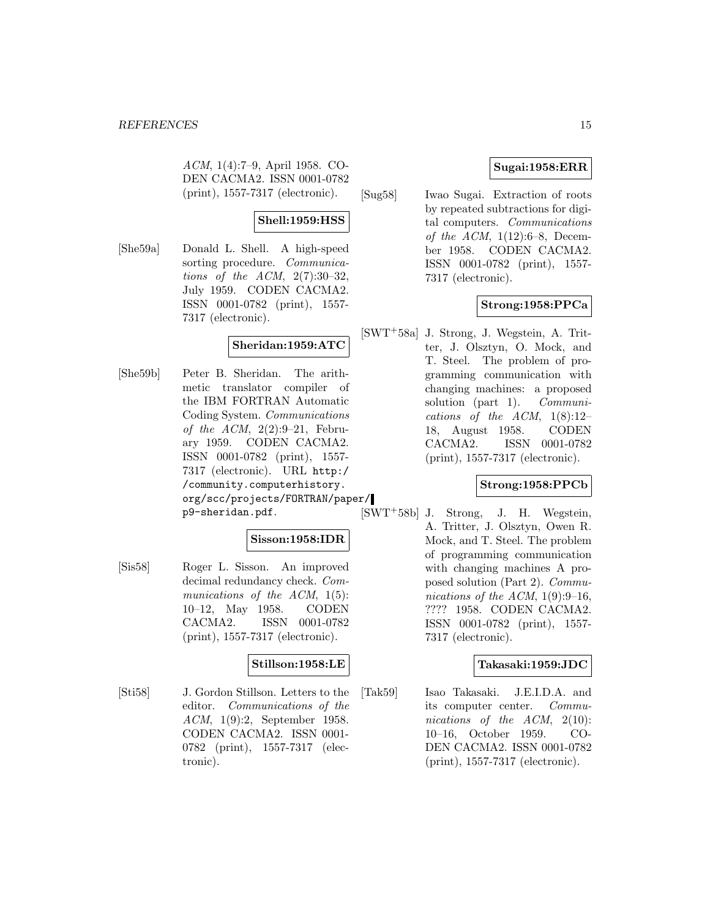ACM, 1(4):7–9, April 1958. CO-DEN CACMA2. ISSN 0001-0782 (print), 1557-7317 (electronic).

# **Shell:1959:HSS**

[She59a] Donald L. Shell. A high-speed sorting procedure. Communications of the ACM,  $2(7):30-32$ , July 1959. CODEN CACMA2. ISSN 0001-0782 (print), 1557- 7317 (electronic).

# **Sheridan:1959:ATC**

[She59b] Peter B. Sheridan. The arithmetic translator compiler of the IBM FORTRAN Automatic Coding System. Communications of the ACM,  $2(2):9-21$ , February 1959. CODEN CACMA2. ISSN 0001-0782 (print), 1557- 7317 (electronic). URL http:/ /community.computerhistory. org/scc/projects/FORTRAN/paper/ p9-sheridan.pdf.

# **Sisson:1958:IDR**

[Sis58] Roger L. Sisson. An improved decimal redundancy check. Communications of the ACM,  $1(5)$ : 10–12, May 1958. CODEN CACMA2. ISSN 0001-0782 (print), 1557-7317 (electronic).

# **Stillson:1958:LE**

[Sti58] J. Gordon Stillson. Letters to the editor. Communications of the ACM, 1(9):2, September 1958. CODEN CACMA2. ISSN 0001- 0782 (print), 1557-7317 (electronic).

# **Sugai:1958:ERR**

[Sug58] Iwao Sugai. Extraction of roots by repeated subtractions for digital computers. Communications of the ACM,  $1(12):6-8$ , December 1958. CODEN CACMA2. ISSN 0001-0782 (print), 1557- 7317 (electronic).

# **Strong:1958:PPCa**

[SWT<sup>+</sup>58a] J. Strong, J. Wegstein, A. Tritter, J. Olsztyn, O. Mock, and T. Steel. The problem of programming communication with changing machines: a proposed solution (part 1). Communications of the ACM,  $1(8):12-$ 18, August 1958. CODEN CACMA2. ISSN 0001-0782 (print), 1557-7317 (electronic).

# **Strong:1958:PPCb**

[SWT<sup>+</sup>58b] J. Strong, J. H. Wegstein, A. Tritter, J. Olsztyn, Owen R. Mock, and T. Steel. The problem of programming communication with changing machines A proposed solution (Part 2). Communications of the ACM,  $1(9):9-16$ , ???? 1958. CODEN CACMA2. ISSN 0001-0782 (print), 1557- 7317 (electronic).

# **Takasaki:1959:JDC**

[Tak59] Isao Takasaki. J.E.I.D.A. and its computer center. Communications of the ACM, 2(10): 10–16, October 1959. CO-DEN CACMA2. ISSN 0001-0782 (print), 1557-7317 (electronic).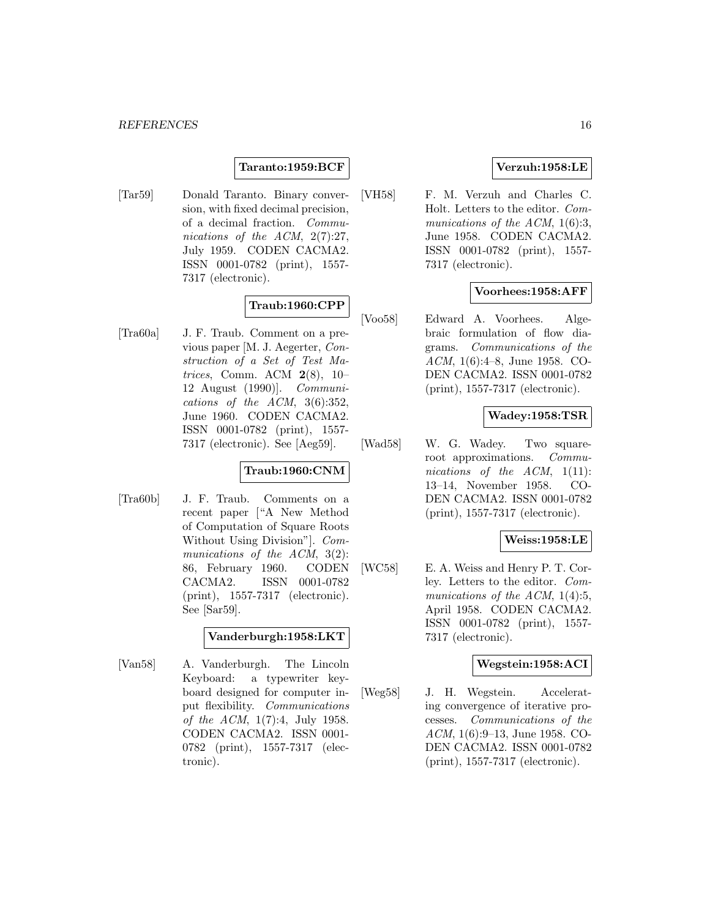#### **Taranto:1959:BCF**

[Tar59] Donald Taranto. Binary conversion, with fixed decimal precision, of a decimal fraction. Communications of the ACM, 2(7):27, July 1959. CODEN CACMA2. ISSN 0001-0782 (print), 1557- 7317 (electronic).

# **Traub:1960:CPP**

[Tra60a] J. F. Traub. Comment on a previous paper [M. J. Aegerter, Construction of a Set of Test Matrices, Comm. ACM **2**(8), 10– 12 August (1990)]. Communications of the ACM, 3(6):352, June 1960. CODEN CACMA2. ISSN 0001-0782 (print), 1557- 7317 (electronic). See [Aeg59].

# **Traub:1960:CNM**

[Tra60b] J. F. Traub. Comments on a recent paper ["A New Method of Computation of Square Roots Without Using Division"]. Communications of the ACM, 3(2): 86, February 1960. CODEN CACMA2. ISSN 0001-0782 (print), 1557-7317 (electronic). See [Sar59].

# **Vanderburgh:1958:LKT**

[Van58] A. Vanderburgh. The Lincoln Keyboard: a typewriter keyboard designed for computer input flexibility. Communications of the ACM, 1(7):4, July 1958. CODEN CACMA2. ISSN 0001- 0782 (print), 1557-7317 (electronic).

### **Verzuh:1958:LE**

[VH58] F. M. Verzuh and Charles C. Holt. Letters to the editor. Communications of the ACM,  $1(6):3$ , June 1958. CODEN CACMA2. ISSN 0001-0782 (print), 1557- 7317 (electronic).

#### **Voorhees:1958:AFF**

[Voo58] Edward A. Voorhees. Algebraic formulation of flow diagrams. Communications of the ACM, 1(6):4–8, June 1958. CO-DEN CACMA2. ISSN 0001-0782 (print), 1557-7317 (electronic).

#### **Wadey:1958:TSR**

[Wad58] W. G. Wadey. Two squareroot approximations. Communications of the  $ACM$ ,  $1(11)$ : 13–14, November 1958. CO-DEN CACMA2. ISSN 0001-0782 (print), 1557-7317 (electronic).

#### **Weiss:1958:LE**

[WC58] E. A. Weiss and Henry P. T. Corley. Letters to the editor. Communications of the ACM,  $1(4):5$ , April 1958. CODEN CACMA2. ISSN 0001-0782 (print), 1557- 7317 (electronic).

#### **Wegstein:1958:ACI**

[Weg58] J. H. Wegstein. Accelerating convergence of iterative processes. Communications of the ACM, 1(6):9–13, June 1958. CO-DEN CACMA2. ISSN 0001-0782 (print), 1557-7317 (electronic).